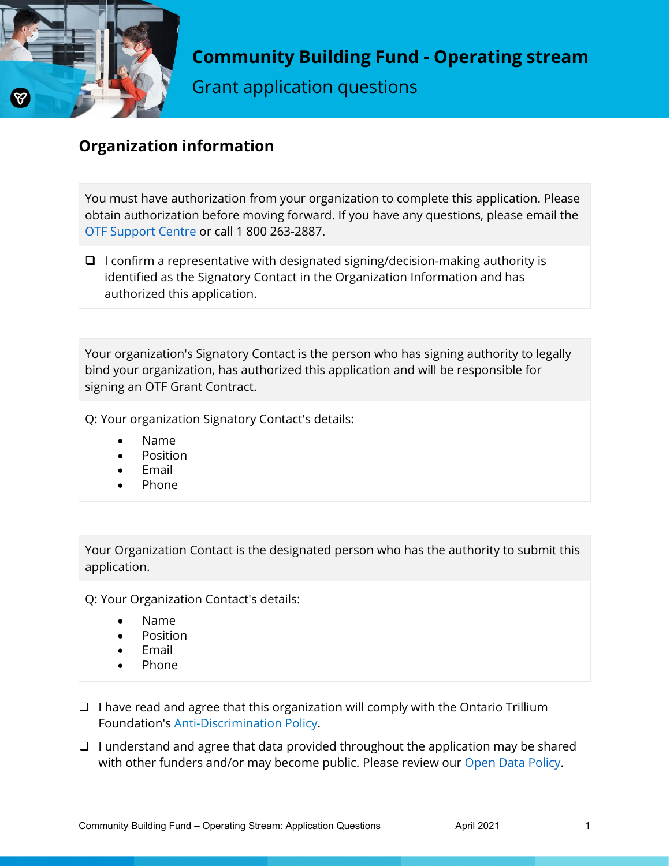

Grant application questions

# **Organization information**

You must have authorization from your organization to complete this application. Please obtain authorization before moving forward. If you have any questions, please email the [OTF Support Centre](mailto:otf@otf.ca) or call 1 800 263-2887.

 $\Box$  I confirm a representative with designated signing/decision-making authority is identified as the Signatory Contact in the Organization Information and has authorized this application.

Your organization's Signatory Contact is the person who has signing authority to legally bind your organization, has authorized this application and will be responsible for signing an OTF Grant Contract.

Q: Your organization Signatory Contact's details:

- Name
- Position
- **Email**
- Phone

Your Organization Contact is the designated person who has the authority to submit this application.

Q: Your Organization Contact's details:

- Name
- Position
- **Email**
- Phone
- $\Box$  I have read and agree that this organization will comply with the Ontario Trillium Foundation's [Anti-Discrimination Policy.](https://otf.ca/who-we-are/our-policies/anti-discrimination-policy)
- $\Box$  I understand and agree that data provided throughout the application may be shared with other funders and/or may become public. Please review our [Open Data Policy.](https://otf.ca/who-we-are/our-policies/open-data-policy)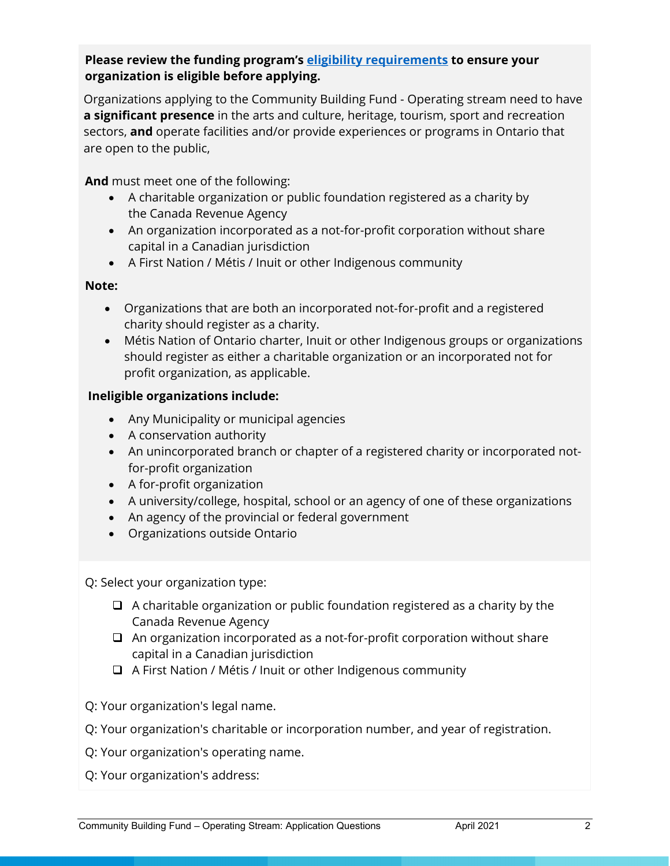## **Please review the funding program's [eligibility requirements](https://otf.ca/our-grants/community-building-fund/community-building-fund-operating-stream) to ensure your organization is eligible before applying.**

Organizations applying to the Community Building Fund - Operating stream need to have **a significant presence** in the arts and culture, heritage, tourism, sport and recreation sectors, **and** operate facilities and/or provide experiences or programs in Ontario that are open to the public,

**And** must meet one of the following:

- A charitable organization or public foundation registered as a charity by the Canada Revenue Agency
- An organization incorporated as a not-for-profit corporation without share capital in a Canadian jurisdiction
- A First Nation / Métis / Inuit or other Indigenous community

#### **Note:**

- Organizations that are both an incorporated not‐for‐profit and a registered charity should register as a charity.
- Métis Nation of Ontario charter, Inuit or other Indigenous groups or organizations should register as either a charitable organization or an incorporated not for profit organization, as applicable.

## **Ineligible organizations include:**

- Any Municipality or municipal agencies
- A conservation authority
- An unincorporated branch or chapter of a registered charity or incorporated notfor-profit organization
- A for-profit organization
- A university/college, hospital, school or an agency of one of these organizations
- An agency of the provincial or federal government
- Organizations outside Ontario

Q: Select your organization type:

- $\Box$  A charitable organization or public foundation registered as a charity by the Canada Revenue Agency
- $\Box$  An organization incorporated as a not-for-profit corporation without share capital in a Canadian jurisdiction
- A First Nation / Métis / Inuit or other Indigenous community

Q: Your organization's legal name.

- Q: Your organization's charitable or incorporation number, and year of registration.
- Q: Your organization's operating name.
- Q: Your organization's address: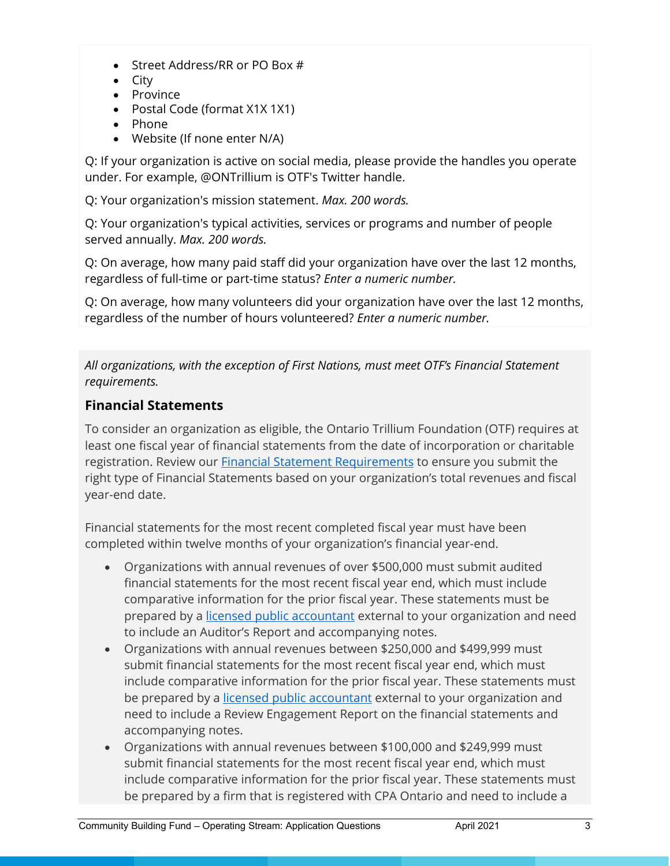- Street Address/RR or PO Box #
- City
- Province
- Postal Code (format X1X 1X1)
- Phone
- Website (If none enter N/A)

Q: If your organization is active on social media, please provide the handles you operate under. For example, @ONTrillium is OTF's Twitter handle.

Q: Your organization's mission statement. *Max. 200 words.*

Q: Your organization's typical activities, services or programs and number of people served annually. *Max. 200 words.*

Q: On average, how many paid staff did your organization have over the last 12 months, regardless of full-time or part-time status? *Enter a numeric number.*

Q: On average, how many volunteers did your organization have over the last 12 months, regardless of the number of hours volunteered? *Enter a numeric number.*

*All organizations, with the exception of First Nations, must meet OTF's Financial Statement requirements.*

# **Financial Statements**

To consider an organization as eligible, the Ontario Trillium Foundation (OTF) requires at least one fiscal year of financial statements from the date of incorporation or charitable registration. Review our [Financial Statement Requirements](https://otf.ca/resources/financial-statement-requirements) to ensure you submit the right type of Financial Statements based on your organization's total revenues and fiscal year-end date.

Financial statements for the most recent completed fiscal year must have been completed within twelve months of your organization's financial year-end.

- Organizations with annual revenues of over \$500,000 must submit audited financial statements for the most recent fiscal year end, which must include comparative information for the prior fiscal year. These statements must be prepared by a [licensed public accountant](https://www.pacont.org/sRoster.php) external to your organization and need to include an Auditor's Report and accompanying notes.
- Organizations with annual revenues between \$250,000 and \$499,999 must submit financial statements for the most recent fiscal year end, which must include comparative information for the prior fiscal year. These statements must be prepared by a [licensed public accountant](https://www.pacont.org/sRoster.php) external to your organization and need to include a Review Engagement Report on the financial statements and accompanying notes.
- Organizations with annual revenues between \$100,000 and \$249,999 must submit financial statements for the most recent fiscal year end, which must include comparative information for the prior fiscal year. These statements must be prepared by a firm that is registered with CPA Ontario and need to include a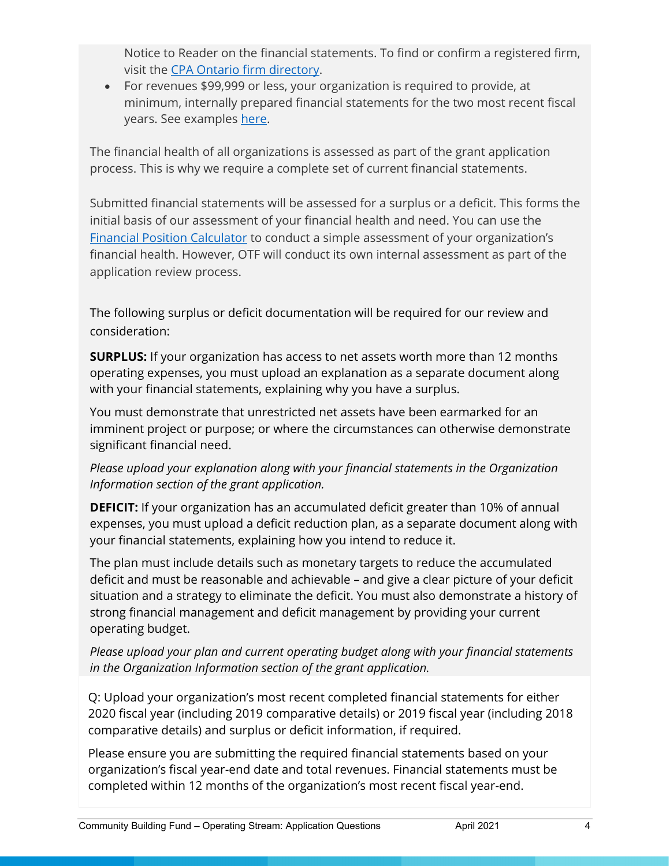Notice to Reader on the financial statements. To find or confirm a registered firm, visit the [CPA Ontario firm directory.](https://myportal.cpaontario.ca/s/firm-directory)

• For revenues \$99,999 or less, your organization is required to provide, at minimum, internally prepared financial statements for the two most recent fiscal years. See examples [here.](https://otf.ca/sites/default/files/financial_statements_examples.pdf)

The financial health of all organizations is assessed as part of the grant application process. This is why we require a complete set of current financial statements.

Submitted financial statements will be assessed for a surplus or a deficit. This forms the initial basis of our assessment of your financial health and need. You can use the [Financial Position Calculator](https://otf.ca/resources/financial-position-calculator) to conduct a simple assessment of your organization's financial health. However, OTF will conduct its own internal assessment as part of the application review process.

The following surplus or deficit documentation will be required for our review and consideration:

**SURPLUS:** If your organization has access to net assets worth more than 12 months operating expenses, you must upload an explanation as a separate document along with your financial statements, explaining why you have a surplus.

You must demonstrate that unrestricted net assets have been earmarked for an imminent project or purpose; or where the circumstances can otherwise demonstrate significant financial need.

*Please upload your explanation along with your financial statements in the Organization Information section of the grant application.*

**DEFICIT:** If your organization has an accumulated deficit greater than 10% of annual expenses, you must upload a deficit reduction plan, as a separate document along with your financial statements, explaining how you intend to reduce it.

The plan must include details such as monetary targets to reduce the accumulated deficit and must be reasonable and achievable – and give a clear picture of your deficit situation and a strategy to eliminate the deficit. You must also demonstrate a history of strong financial management and deficit management by providing your current operating budget.

*Please upload your plan and current operating budget along with your financial statements in the Organization Information section of the grant application.*

Q: Upload your organization's most recent completed financial statements for either 2020 fiscal year (including 2019 comparative details) or 2019 fiscal year (including 2018 comparative details) and surplus or deficit information, if required.

Please ensure you are submitting the required financial statements based on your organization's fiscal year-end date and total revenues. Financial statements must be completed within 12 months of the organization's most recent fiscal year-end.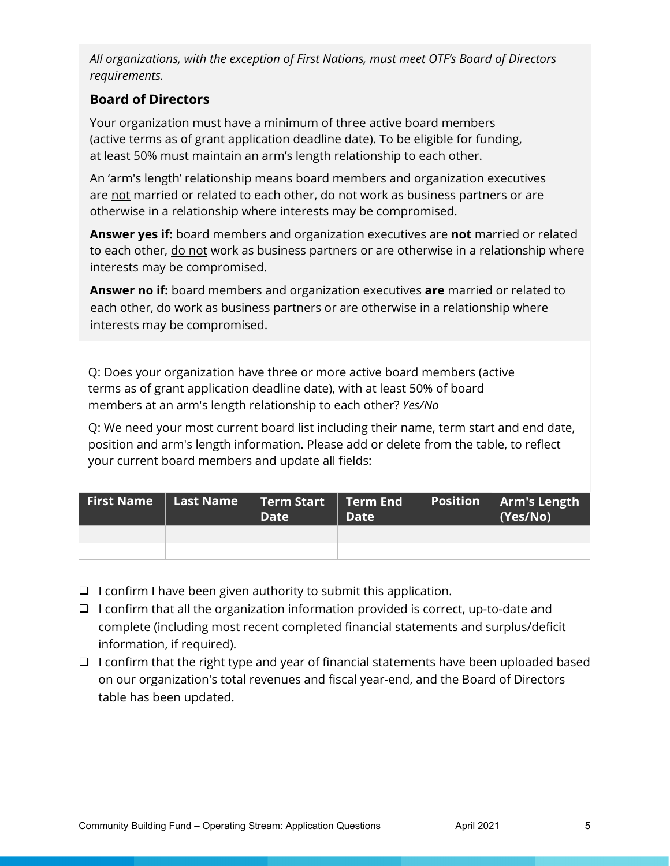*All organizations, with the exception of First Nations, must meet OTF's Board of Directors requirements.*

# **Board of Directors**

Your organization must have a minimum of three active board members (active terms as of grant application deadline date). To be eligible for funding, at least 50% must maintain an arm's length relationship to each other.

An 'arm's length' relationship means board members and organization executives are not married or related to each other, do not work as business partners or are otherwise in a relationship where interests may be compromised.

**Answer yes if:** board members and organization executives are **not** married or related to each other, do not work as business partners or are otherwise in a relationship where interests may be compromised.

**Answer no if:** board members and organization executives **are** married or related to each other, do work as business partners or are otherwise in a relationship where interests may be compromised.

Q: Does your organization have three or more active board members (active terms as of grant application deadline date), with at least 50% of board members at an arm's length relationship to each other? *Yes/No*

Q: We need your most current board list including their name, term start and end date, position and arm's length information. Please add or delete from the table, to reflect your current board members and update all fields:

|  | <b>Date</b> | <b>Date</b> | $\mid$ Position $\mid$ | Arm's Length<br>(Yes/No) |
|--|-------------|-------------|------------------------|--------------------------|
|  |             |             |                        |                          |
|  |             |             |                        |                          |

- $\Box$  I confirm I have been given authority to submit this application.
- $\Box$  I confirm that all the organization information provided is correct, up-to-date and complete (including most recent completed financial statements and surplus/deficit information, if required).
- $\Box$  I confirm that the right type and year of financial statements have been uploaded based on our organization's total revenues and fiscal year-end, and the Board of Directors table has been updated.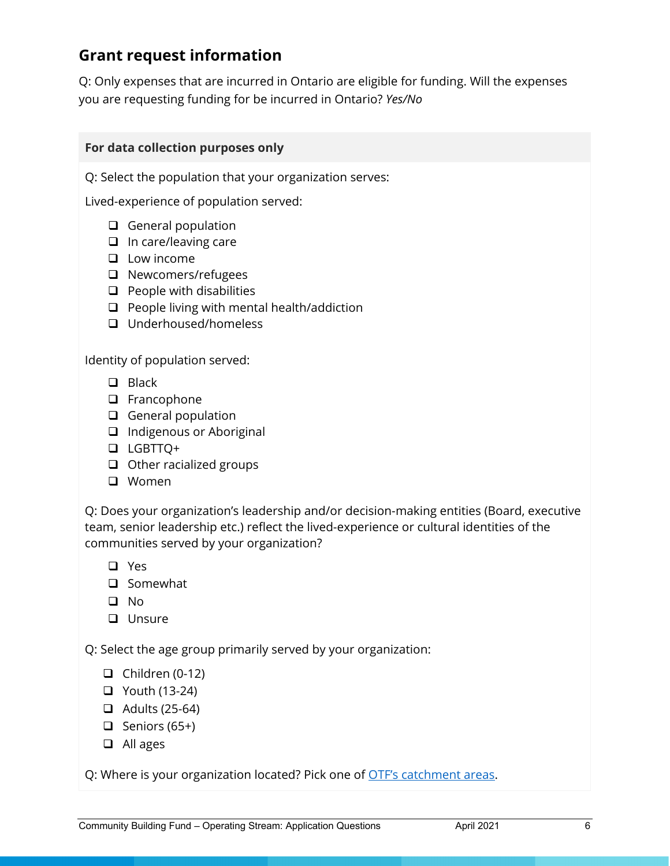# **Grant request information**

Q: Only expenses that are incurred in Ontario are eligible for funding. Will the expenses you are requesting funding for be incurred in Ontario? *Yes/No*

# **For data collection purposes only**

Q: Select the population that your organization serves:

Lived-experience of population served:

- $\Box$  General population
- $\Box$  In care/leaving care
- $\Box$  Low income
- □ Newcomers/refugees
- $\Box$  People with disabilities
- $\Box$  People living with mental health/addiction
- Underhoused/homeless

Identity of population served:

- **D** Black
- □ Francophone
- $\Box$  General population
- □ Indigenous or Aboriginal
- LGBTTQ+
- $\Box$  Other racialized groups
- **Q** Women

Q: Does your organization's leadership and/or decision-making entities (Board, executive team, senior leadership etc.) reflect the lived-experience or cultural identities of the communities served by your organization?

Yes

- $\square$  Somewhat
- No
- **U** Unsure

Q: Select the age group primarily served by your organization:

- $\Box$  Children (0-12)
- Youth (13-24)
- $\Box$  Adults (25-64)
- $\Box$  Seniors (65+)
- □ All ages

Q: Where is your organization located? Pick one of [OTF's catchment areas.](https://otf.ca/resources/community-investments-grant-resources/find-your-catchment-area)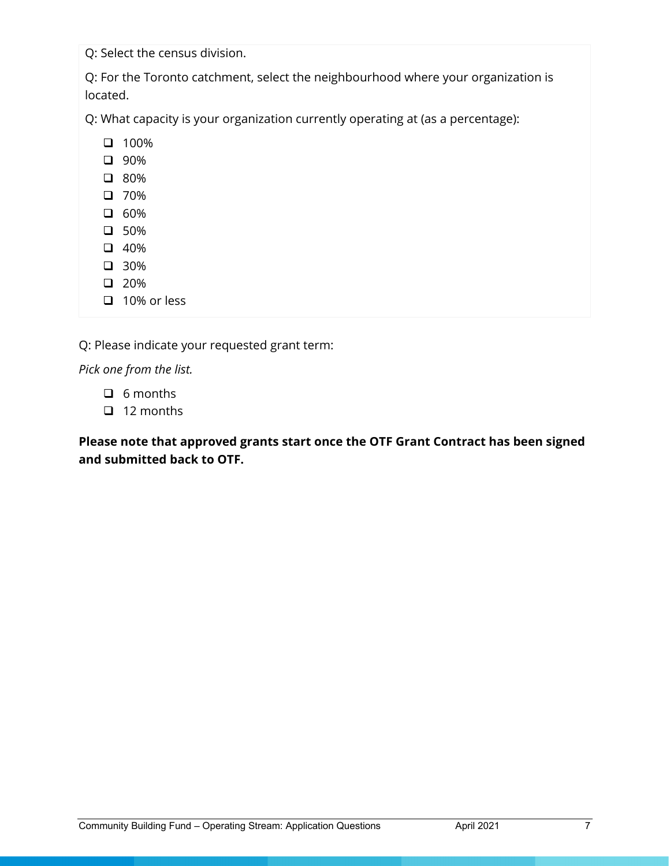Q: Select the census division.

Q: For the Toronto catchment, select the neighbourhood where your organization is located.

Q: What capacity is your organization currently operating at (as a percentage):

- $\Box$  100%
- 90%
- 80%
- $\Box$  70%
- $\Box$  60%
- $\Box$  50%
- $\Box$  40%
- 30%  $\Box$  20%
- $\Box$  10% or less

Q: Please indicate your requested grant term:

*Pick one from the list.*

- $\Box$  6 months
- $\Box$  12 months

**Please note that approved grants start once the OTF Grant Contract has been signed and submitted back to OTF.**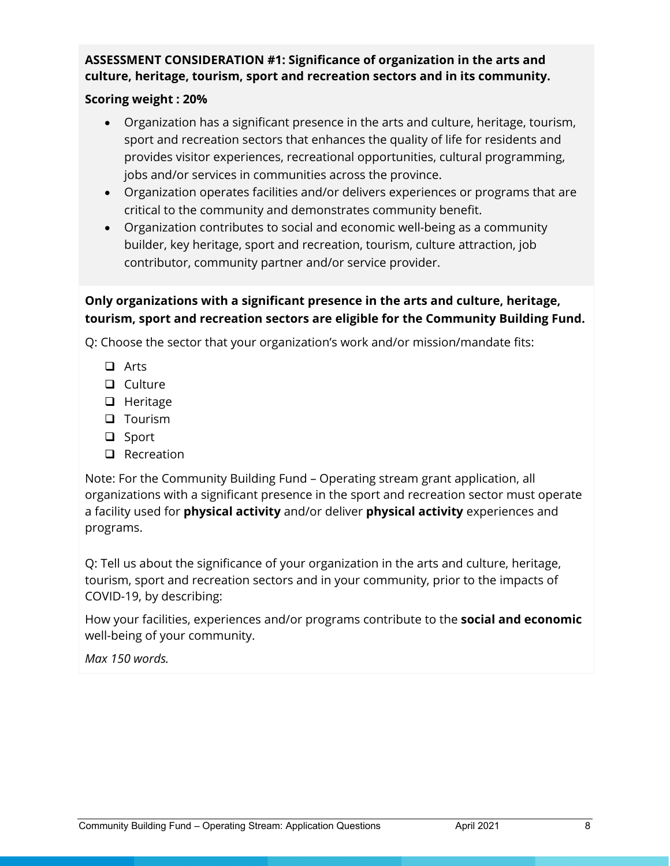# **ASSESSMENT CONSIDERATION #1: Significance of organization in the arts and culture, heritage, tourism, sport and recreation sectors and in its community.**

### **Scoring weight : 20%**

- Organization has a significant presence in the arts and culture, heritage, tourism, sport and recreation sectors that enhances the quality of life for residents and provides visitor experiences, recreational opportunities, cultural programming, jobs and/or services in communities across the province.
- Organization operates facilities and/or delivers experiences or programs that are critical to the community and demonstrates community benefit.
- Organization contributes to social and economic well-being as a community builder, key heritage, sport and recreation, tourism, culture attraction, job contributor, community partner and/or service provider.

# **Only organizations with a significant presence in the arts and culture, heritage, tourism, sport and recreation sectors are eligible for the Community Building Fund.**

Q: Choose the sector that your organization's work and/or mission/mandate fits:

- **Q** Arts
- **Q** Culture
- $\Box$  Heritage
- **Q** Tourism
- □ Sport
- $\Box$  Recreation

Note: For the Community Building Fund – Operating stream grant application, all organizations with a significant presence in the sport and recreation sector must operate a facility used for **physical activity** and/or deliver **physical activity** experiences and programs.

Q: Tell us about the significance of your organization in the arts and culture, heritage, tourism, sport and recreation sectors and in your community, prior to the impacts of COVID-19, by describing:

How your facilities, experiences and/or programs contribute to the **social and economic** well-being of your community.

*Max 150 words.*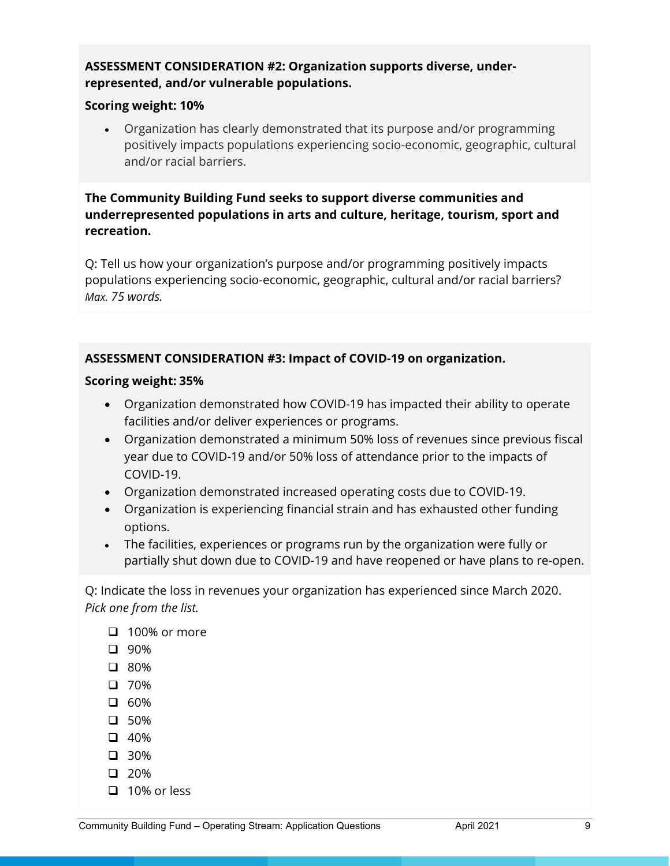## **ASSESSMENT CONSIDERATION #2: Organization supports diverse, underrepresented, and/or vulnerable populations.**

#### **Scoring weight: 10%**

• Organization has clearly demonstrated that its purpose and/or programming positively impacts populations experiencing socio-economic, geographic, cultural and/or racial barriers.

# **The Community Building Fund seeks to support diverse communities and underrepresented populations in arts and culture, heritage, tourism, sport and recreation.**

Q: Tell us how your organization's purpose and/or programming positively impacts populations experiencing socio-economic, geographic, cultural and/or racial barriers? *Max. 75 words.*

# **ASSESSMENT CONSIDERATION #3: Impact of COVID-19 on organization.**

## **Scoring weight: 35%**

- Organization demonstrated how COVID-19 has impacted their ability to operate facilities and/or deliver experiences or programs.
- Organization demonstrated a minimum 50% loss of revenues since previous fiscal year due to COVID-19 and/or 50% loss of attendance prior to the impacts of COVID-19.
- Organization demonstrated increased operating costs due to COVID-19.
- Organization is experiencing financial strain and has exhausted other funding options.
- The facilities, experiences or programs run by the organization were fully or partially shut down due to COVID-19 and have reopened or have plans to re-open.

Q: Indicate the loss in revenues your organization has experienced since March 2020. *Pick one from the list.*

- $\Box$  100% or more
- 90%
- 80%
- □ 70%
- $\Box$  60%
- **4** 50%
- $\Box$  40%
- 30%
- $\Box$  20%
- $\Box$  10% or less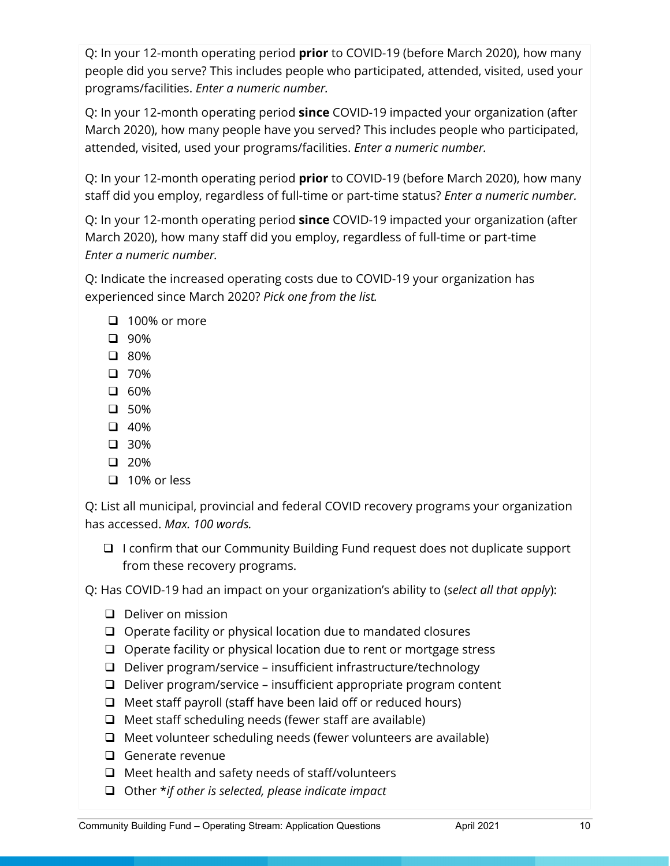Q: In your 12-month operating period **prior** to COVID-19 (before March 2020), how many people did you serve? This includes people who participated, attended, visited, used your programs/facilities. *Enter a numeric number.*

Q: In your 12-month operating period **since** COVID-19 impacted your organization (after March 2020), how many people have you served? This includes people who participated, attended, visited, used your programs/facilities. *Enter a numeric number.*

Q: In your 12-month operating period **prior** to COVID-19 (before March 2020), how many staff did you employ, regardless of full-time or part-time status? *Enter a numeric number.*

Q: In your 12-month operating period **since** COVID-19 impacted your organization (after March 2020), how many staff did you employ, regardless of full-time or part-time *Enter a numeric number.*

Q: Indicate the increased operating costs due to COVID-19 your organization has experienced since March 2020? *Pick one from the list.*

- $\Box$  100% or more
- 90%
- 80%
- $\Box$  70%
- $\square$  60%
- $\Box$  50%
- $\Box$  40%
- 30%
- $\Box$  20%
- $\Box$  10% or less

Q: List all municipal, provincial and federal COVID recovery programs your organization has accessed. *Max. 100 words.*

 $\Box$  I confirm that our Community Building Fund request does not duplicate support from these recovery programs.

Q: Has COVID-19 had an impact on your organization's ability to (*select all that apply*):

- D Deliver on mission
- $\Box$  Operate facility or physical location due to mandated closures
- $\Box$  Operate facility or physical location due to rent or mortgage stress
- $\Box$  Deliver program/service insufficient infrastructure/technology
- $\Box$  Deliver program/service insufficient appropriate program content
- $\Box$  Meet staff payroll (staff have been laid off or reduced hours)
- $\Box$  Meet staff scheduling needs (fewer staff are available)
- $\Box$  Meet volunteer scheduling needs (fewer volunteers are available)
- **Q** Generate revenue
- $\Box$  Meet health and safety needs of staff/volunteers
- Other \**if other is selected, please indicate impact*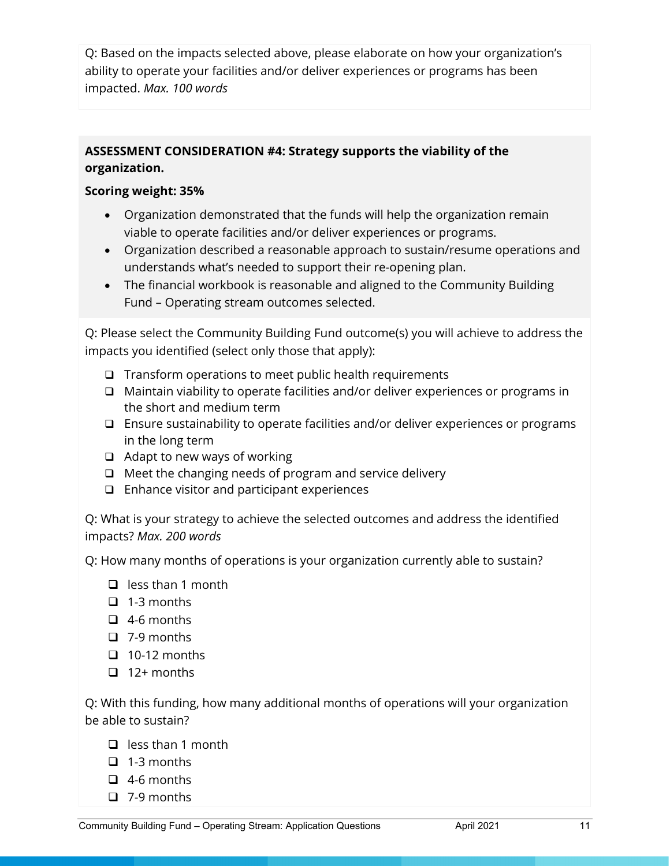Q: Based on the impacts selected above, please elaborate on how your organization's ability to operate your facilities and/or deliver experiences or programs has been impacted. *Max. 100 words*

# **ASSESSMENT CONSIDERATION #4: Strategy supports the viability of the organization.**

### **Scoring weight: 35%**

- Organization demonstrated that the funds will help the organization remain viable to operate facilities and/or deliver experiences or programs.
- Organization described a reasonable approach to sustain/resume operations and understands what's needed to support their re-opening plan.
- The financial workbook is reasonable and aligned to the Community Building Fund – Operating stream outcomes selected.

Q: Please select the Community Building Fund outcome(s) you will achieve to address the impacts you identified (select only those that apply):

- $\Box$  Transform operations to meet public health requirements
- $\Box$  Maintain viability to operate facilities and/or deliver experiences or programs in the short and medium term
- Ensure sustainability to operate facilities and/or deliver experiences or programs in the long term
- $\Box$  Adapt to new ways of working
- $\Box$  Meet the changing needs of program and service delivery
- $\Box$  Enhance visitor and participant experiences

Q: What is your strategy to achieve the selected outcomes and address the identified impacts? *Max. 200 words*

Q: How many months of operations is your organization currently able to sustain?

- $\Box$  less than 1 month
- $\Box$  1-3 months
- $\Box$  4-6 months
- $\Box$  7-9 months
- $\Box$  10-12 months
- $\Box$  12+ months

Q: With this funding, how many additional months of operations will your organization be able to sustain?

- $\Box$  less than 1 month
- $\Box$  1-3 months
- $\Box$  4-6 months
- $\Box$  7-9 months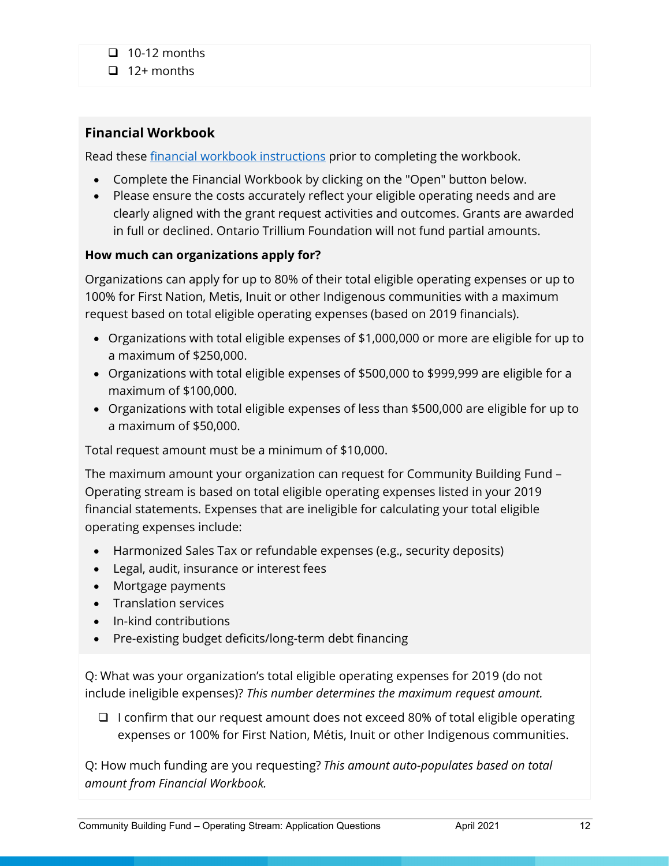$\Box$  12+ months

# **Financial Workbook**

Read these **financial workbook instructions** prior to completing the workbook.

- Complete the Financial Workbook by clicking on the "Open" button below.
- Please ensure the costs accurately reflect your eligible operating needs and are clearly aligned with the grant request activities and outcomes. Grants are awarded in full or declined. Ontario Trillium Foundation will not fund partial amounts.

## **How much can organizations apply for?**

Organizations can apply for up to 80% of their total eligible operating expenses or up to 100% for First Nation, Metis, Inuit or other Indigenous communities with a maximum request based on total eligible operating expenses (based on 2019 financials).

- Organizations with total eligible expenses of \$1,000,000 or more are eligible for up to a maximum of \$250,000.
- Organizations with total eligible expenses of \$500,000 to \$999,999 are eligible for a maximum of \$100,000.
- Organizations with total eligible expenses of less than \$500,000 are eligible for up to a maximum of \$50,000.

Total request amount must be a minimum of \$10,000.

The maximum amount your organization can request for Community Building Fund – Operating stream is based on total eligible operating expenses listed in your 2019 financial statements. Expenses that are ineligible for calculating your total eligible operating expenses include:

- Harmonized Sales Tax or refundable expenses (e.g., security deposits)
- Legal, audit, insurance or interest fees
- Mortgage payments
- Translation services
- In-kind contributions
- Pre-existing budget deficits/long-term debt financing

Q: What was your organization's total eligible operating expenses for 2019 (do not include ineligible expenses)? *This number determines the maximum request amount.*

 $\Box$  I confirm that our request amount does not exceed 80% of total eligible operating expenses or 100% for First Nation, Métis, Inuit or other Indigenous communities.

Q: How much funding are you requesting? *This amount auto-populates based on total amount from Financial Workbook.*